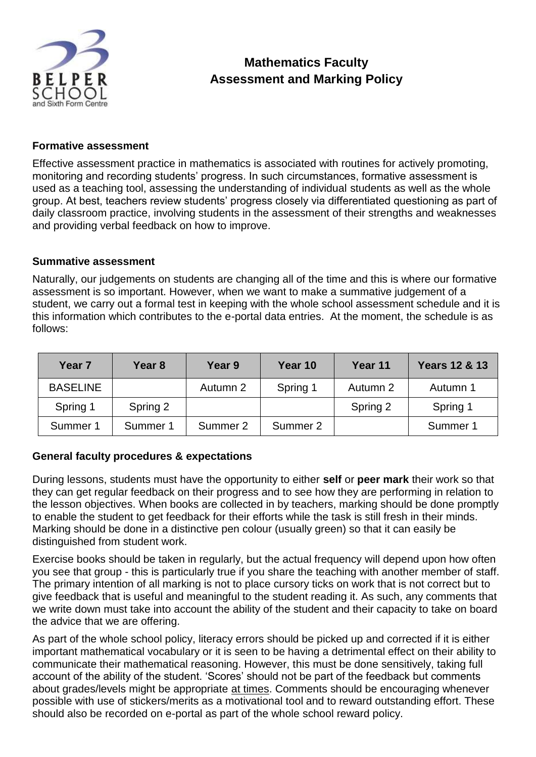

### **Formative assessment**

Effective assessment practice in mathematics is associated with routines for actively promoting, monitoring and recording students' progress. In such circumstances, formative assessment is used as a teaching tool, assessing the understanding of individual students as well as the whole group. At best, teachers review students' progress closely via differentiated questioning as part of daily classroom practice, involving students in the assessment of their strengths and weaknesses and providing verbal feedback on how to improve.

### **Summative assessment**

Naturally, our judgements on students are changing all of the time and this is where our formative assessment is so important. However, when we want to make a summative judgement of a student, we carry out a formal test in keeping with the whole school assessment schedule and it is this information which contributes to the e-portal data entries. At the moment, the schedule is as follows:

| Year <sub>7</sub> | Year 8   | Year 9   | Year 10  | Year 11  | <b>Years 12 &amp; 13</b> |
|-------------------|----------|----------|----------|----------|--------------------------|
| <b>BASELINE</b>   |          | Autumn 2 | Spring 1 | Autumn 2 | Autumn 1                 |
| Spring 1          | Spring 2 |          |          | Spring 2 | Spring 1                 |
| Summer 1          | Summer 1 | Summer 2 | Summer 2 |          | Summer 1                 |

#### **General faculty procedures & expectations**

During lessons, students must have the opportunity to either **self** or **peer mark** their work so that they can get regular feedback on their progress and to see how they are performing in relation to the lesson objectives. When books are collected in by teachers, marking should be done promptly to enable the student to get feedback for their efforts while the task is still fresh in their minds. Marking should be done in a distinctive pen colour (usually green) so that it can easily be distinguished from student work.

Exercise books should be taken in regularly, but the actual frequency will depend upon how often you see that group - this is particularly true if you share the teaching with another member of staff. The primary intention of all marking is not to place cursory ticks on work that is not correct but to give feedback that is useful and meaningful to the student reading it. As such, any comments that we write down must take into account the ability of the student and their capacity to take on board the advice that we are offering.

As part of the whole school policy, literacy errors should be picked up and corrected if it is either important mathematical vocabulary or it is seen to be having a detrimental effect on their ability to communicate their mathematical reasoning. However, this must be done sensitively, taking full account of the ability of the student. 'Scores' should not be part of the feedback but comments about grades/levels might be appropriate at times. Comments should be encouraging whenever possible with use of stickers/merits as a motivational tool and to reward outstanding effort. These should also be recorded on e-portal as part of the whole school reward policy.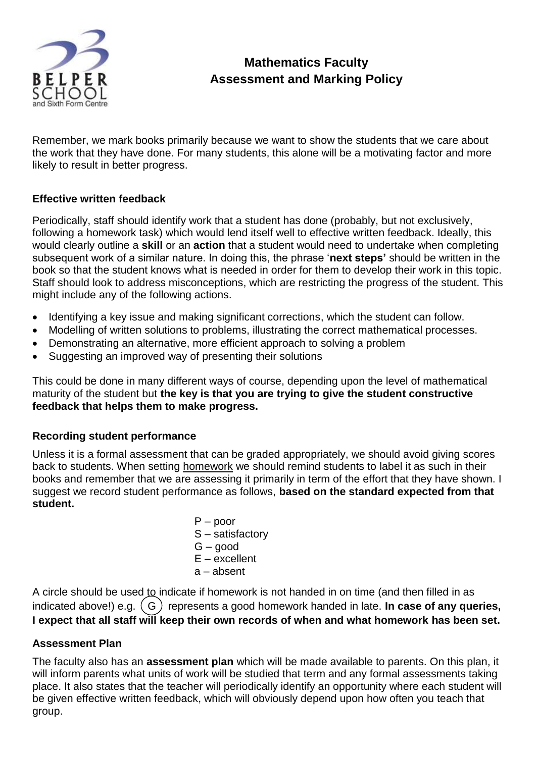

Remember, we mark books primarily because we want to show the students that we care about the work that they have done. For many students, this alone will be a motivating factor and more likely to result in better progress.

## **Effective written feedback**

Periodically, staff should identify work that a student has done (probably, but not exclusively, following a homework task) which would lend itself well to effective written feedback. Ideally, this would clearly outline a **skill** or an **action** that a student would need to undertake when completing subsequent work of a similar nature. In doing this, the phrase '**next steps'** should be written in the book so that the student knows what is needed in order for them to develop their work in this topic. Staff should look to address misconceptions, which are restricting the progress of the student. This might include any of the following actions.

- Identifying a key issue and making significant corrections, which the student can follow.
- Modelling of written solutions to problems, illustrating the correct mathematical processes.
- Demonstrating an alternative, more efficient approach to solving a problem
- Suggesting an improved way of presenting their solutions

This could be done in many different ways of course, depending upon the level of mathematical maturity of the student but **the key is that you are trying to give the student constructive feedback that helps them to make progress.**

## **Recording student performance**

Unless it is a formal assessment that can be graded appropriately, we should avoid giving scores back to students. When setting homework we should remind students to label it as such in their books and remember that we are assessing it primarily in term of the effort that they have shown. I suggest we record student performance as follows, **based on the standard expected from that student.**

> $P -$  poor S – satisfactory G – good E – excellent a – absent

A circle should be used to indicate if homework is not handed in on time (and then filled in as indicated above!) e.g. (G) represents a good homework handed in late. **In case of any queries**, **I expect that all staff will keep their own records of when and what homework has been set.**

## **Assessment Plan**

The faculty also has an **assessment plan** which will be made available to parents. On this plan, it will inform parents what units of work will be studied that term and any formal assessments taking place. It also states that the teacher will periodically identify an opportunity where each student will be given effective written feedback, which will obviously depend upon how often you teach that group.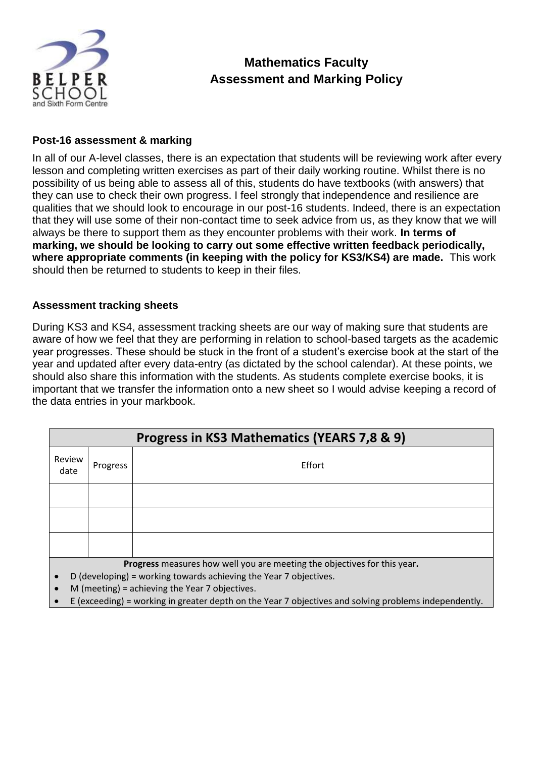

### **Post-16 assessment & marking**

In all of our A-level classes, there is an expectation that students will be reviewing work after every lesson and completing written exercises as part of their daily working routine. Whilst there is no possibility of us being able to assess all of this, students do have textbooks (with answers) that they can use to check their own progress. I feel strongly that independence and resilience are qualities that we should look to encourage in our post-16 students. Indeed, there is an expectation that they will use some of their non-contact time to seek advice from us, as they know that we will always be there to support them as they encounter problems with their work. **In terms of marking, we should be looking to carry out some effective written feedback periodically, where appropriate comments (in keeping with the policy for KS3/KS4) are made.** This work should then be returned to students to keep in their files.

### **Assessment tracking sheets**

During KS3 and KS4, assessment tracking sheets are our way of making sure that students are aware of how we feel that they are performing in relation to school-based targets as the academic year progresses. These should be stuck in the front of a student's exercise book at the start of the year and updated after every data-entry (as dictated by the school calendar). At these points, we should also share this information with the students. As students complete exercise books, it is important that we transfer the information onto a new sheet so I would advise keeping a record of the data entries in your markbook.

| Progress in KS3 Mathematics (YEARS 7,8 & 9)                                                                                                                                                     |          |        |  |  |  |
|-------------------------------------------------------------------------------------------------------------------------------------------------------------------------------------------------|----------|--------|--|--|--|
| Review<br>date                                                                                                                                                                                  | Progress | Effort |  |  |  |
|                                                                                                                                                                                                 |          |        |  |  |  |
|                                                                                                                                                                                                 |          |        |  |  |  |
|                                                                                                                                                                                                 |          |        |  |  |  |
| Progress measures how well you are meeting the objectives for this year.<br>D (developing) = working towards achieving the Year 7 objectives.<br>M (meeting) = achieving the Year 7 objectives. |          |        |  |  |  |

**E** (exceeding) = working in greater depth on the Year 7 objectives and solving problems independently.